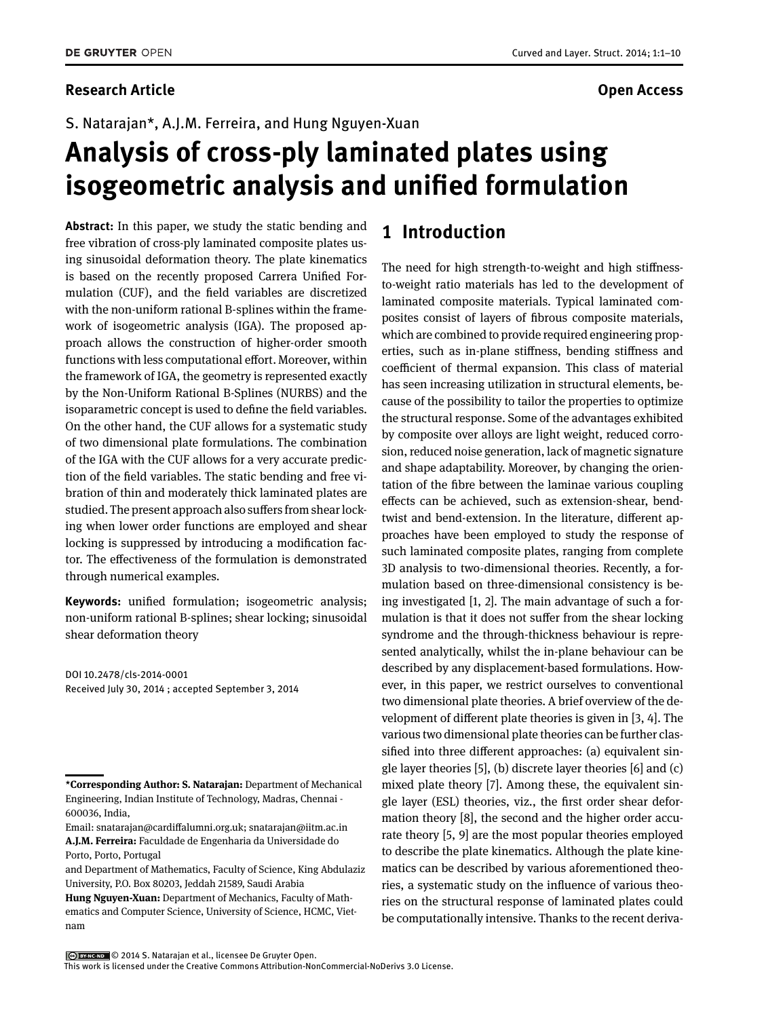## <span id="page-0-0"></span>**Research Article Open Access**

S. Natarajan\*, A.J.M. Ferreira, and Hung Nguyen-Xuan

# **Analysis of cross-ply laminated plates using isogeometric analysis and unified formulation**

**Abstract:** In this paper, we study the static bending and free vibration of cross-ply laminated composite plates using sinusoidal deformation theory. The plate kinematics is based on the recently proposed Carrera Unified Formulation (CUF), and the field variables are discretized with the non-uniform rational B-splines within the framework of isogeometric analysis (IGA). The proposed approach allows the construction of higher-order smooth functions with less computational effort. Moreover, within the framework of IGA, the geometry is represented exactly by the Non-Uniform Rational B-Splines (NURBS) and the isoparametric concept is used to define the field variables. On the other hand, the CUF allows for a systematic study of two dimensional plate formulations. The combination of the IGA with the CUF allows for a very accurate prediction of the field variables. The static bending and free vibration of thin and moderately thick laminated plates are studied. The present approach also suffers from shear locking when lower order functions are employed and shear locking is suppressed by introducing a modification factor. The effectiveness of the formulation is demonstrated through numerical examples.

**Keywords:** unified formulation; isogeometric analysis; non-uniform rational B-splines; shear locking; sinusoidal shear deformation theory

DOI 10.2478/cls-2014-0001 Received July 30, 2014 ; accepted September 3, 2014

Email: snatarajan@cardiffalumni.org.uk; snatarajan@iitm.ac.in **A.J.M. Ferreira:** Faculdade de Engenharia da Universidade do Porto, Porto, Portugal

# **1 Introduction**

The need for high strength-to-weight and high stiffnessto-weight ratio materials has led to the development of laminated composite materials. Typical laminated composites consist of layers of fibrous composite materials, which are combined to provide required engineering properties, such as in-plane stiffness, bending stiffness and coefficient of thermal expansion. This class of material has seen increasing utilization in structural elements, because of the possibility to tailor the properties to optimize the structural response. Some of the advantages exhibited by composite over alloys are light weight, reduced corrosion, reduced noise generation, lack of magnetic signature and shape adaptability. Moreover, by changing the orientation of the fibre between the laminae various coupling effects can be achieved, such as extension-shear, bendtwist and bend-extension. In the literature, different approaches have been employed to study the response of such laminated composite plates, ranging from complete 3D analysis to two-dimensional theories. Recently, a formulation based on three-dimensional consistency is being investigated [\[1,](#page-8-0) [2\]](#page-8-1). The main advantage of such a formulation is that it does not suffer from the shear locking syndrome and the through-thickness behaviour is represented analytically, whilst the in-plane behaviour can be described by any displacement-based formulations. However, in this paper, we restrict ourselves to conventional two dimensional plate theories. A brief overview of the development of different plate theories is given in  $[3, 4]$  $[3, 4]$ . The various two dimensional plate theories can be further classified into three different approaches: (a) equivalent single layer theories [\[5\]](#page-8-4), (b) discrete layer theories [\[6\]](#page-8-5) and (c) mixed plate theory [\[7\]](#page-8-6). Among these, the equivalent single layer (ESL) theories, viz., the first order shear deformation theory [\[8\]](#page-8-7), the second and the higher order accurate theory [\[5,](#page-8-4) [9\]](#page-8-8) are the most popular theories employed to describe the plate kinematics. Although the plate kinematics can be described by various aforementioned theories, a systematic study on the influence of various theories on the structural response of laminated plates could be computationally intensive. Thanks to the recent deriva-

**<sup>\*</sup>Corresponding Author: S. Natarajan:** Department of Mechanical Engineering, Indian Institute of Technology, Madras, Chennai - 600036, India,

and Department of Mathematics, Faculty of Science, King Abdulaziz University, P.O. Box 80203, Jeddah 21589, Saudi Arabia

**Hung Nguyen-Xuan:** Department of Mechanics, Faculty of Mathematics and Computer Science, University of Science, HCMC, Vietnam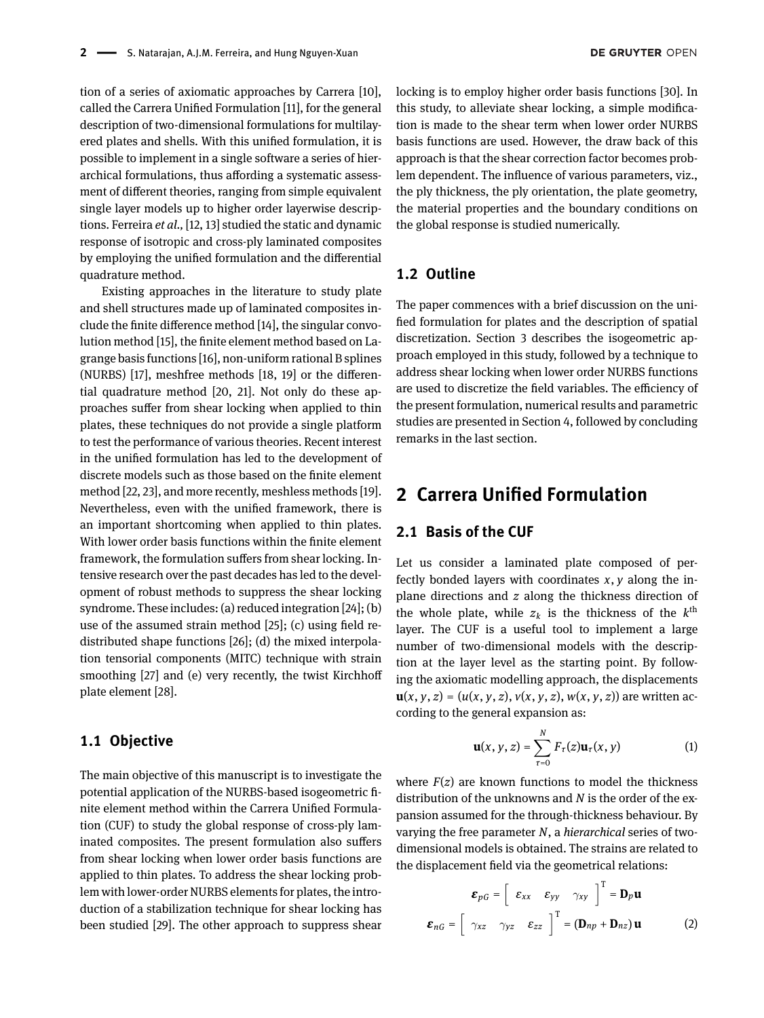tion of a series of axiomatic approaches by Carrera [\[10\]](#page-8-9), called the Carrera Unified Formulation [\[11\]](#page-8-10), for the general description of two-dimensional formulations for multilayered plates and shells. With this unified formulation, it is possible to implement in a single software a series of hierarchical formulations, thus affording a systematic assessment of different theories, ranging from simple equivalent single layer models up to higher order layerwise descriptions. Ferreira *et al.,* [\[12,](#page-8-11) [13\]](#page-8-12) studied the static and dynamic response of isotropic and cross-ply laminated composites by employing the unified formulation and the differential quadrature method.

Existing approaches in the literature to study plate and shell structures made up of laminated composites include the finite difference method  $[14]$ , the singular convo-lution method [\[15\]](#page-8-14), the finite element method based on Lagrange basis functions [\[16\]](#page-8-15), non-uniform rational B splines (NURBS)  $[17]$ , meshfree methods  $[18, 19]$  $[18, 19]$  or the differential quadrature method [\[20,](#page-9-1) [21\]](#page-9-2). Not only do these approaches suffer from shear locking when applied to thin plates, these techniques do not provide a single platform to test the performance of various theories. Recent interest in the unified formulation has led to the development of discrete models such as those based on the finite element method [\[22,](#page-9-3) [23\]](#page-9-4), and more recently, meshless methods [\[19\]](#page-8-18). Nevertheless, even with the unified framework, there is an important shortcoming when applied to thin plates. With lower order basis functions within the finite element framework, the formulation suffers from shear locking. Intensive research over the past decades has led to the development of robust methods to suppress the shear locking syndrome. These includes: (a) reduced integration [\[24\]](#page-9-5); (b) use of the assumed strain method  $[25]$ ; (c) using field redistributed shape functions [\[26\]](#page-9-7); (d) the mixed interpolation tensorial components (MITC) technique with strain smoothing [\[27\]](#page-9-8) and (e) very recently, the twist Kirchhoff plate element [\[28\]](#page-9-9).

### **1.1 Objective**

The main objective of this manuscript is to investigate the potential application of the NURBS-based isogeometric finite element method within the Carrera Unified Formulation (CUF) to study the global response of cross-ply laminated composites. The present formulation also suffers from shear locking when lower order basis functions are applied to thin plates. To address the shear locking problem with lower-order NURBS elements for plates, the introduction of a stabilization technique for shear locking has been studied [\[29\]](#page-9-10). The other approach to suppress shear locking is to employ higher order basis functions [\[30\]](#page-9-11). In this study, to alleviate shear locking, a simple modification is made to the shear term when lower order NURBS basis functions are used. However, the draw back of this approach is that the shear correction factor becomes problem dependent. The influence of various parameters, viz., the ply thickness, the ply orientation, the plate geometry, the material properties and the boundary conditions on the global response is studied numerically.

#### **1.2 Outline**

The paper commences with a brief discussion on the uni fied formulation for plates and the description of spatial discretization. Section [3](#page-2-0) describes the isogeometric approach employed in this study, followed by a technique to address shear locking when lower order NURBS functions are used to discretize the field variables. The efficiency of the present formulation, numerical results and parametric studies are presented in Section [4,](#page-3-0) followed by concluding remarks in the last section.

# **2** Carrera Unified Formulation

#### **2.1 Basis of the CUF**

Let us consider a laminated plate composed of perfectly bonded layers with coordinates *x*, *y* along the inplane directions and *z* along the thickness direction of the whole plate, while  $z_k$  is the thickness of the  $k^{\text{th}}$ layer. The CUF is a useful tool to implement a large number of two-dimensional models with the description at the layer level as the starting point. By following the axiomatic modelling approach, the displacements  **are written ac**cording to the general expansion as:

<span id="page-1-1"></span>
$$
\mathbf{u}(x, y, z) = \sum_{\tau=0}^{N} F_{\tau}(z) \mathbf{u}_{\tau}(x, y) \tag{1}
$$

where  $F(z)$  are known functions to model the thickness distribution of the unknowns and *N* is the order of the expansion assumed for the through-thickness behaviour. By varying the free parameter *N*, a *hierarchical* series of twodimensional models is obtained. The strains are related to the displacement field via the geometrical relations:

<span id="page-1-0"></span>
$$
\mathbf{\varepsilon}_{pG} = \begin{bmatrix} \varepsilon_{xx} & \varepsilon_{yy} & \gamma_{xy} \end{bmatrix}^{\mathrm{T}} = \mathbf{D}_p \mathbf{u}
$$

$$
\mathbf{\varepsilon}_{nG} = \begin{bmatrix} \gamma_{xz} & \gamma_{yz} & \varepsilon_{zz} \end{bmatrix}^{\mathrm{T}} = (\mathbf{D}_{np} + \mathbf{D}_{nz}) \mathbf{u} \tag{2}
$$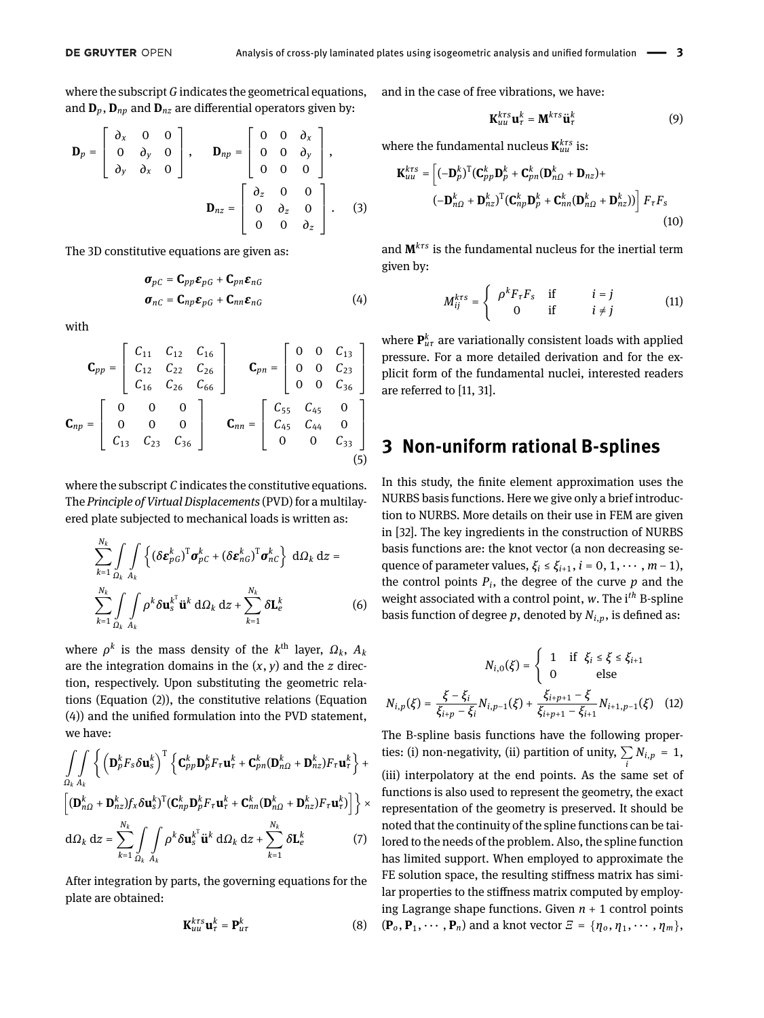where the subscript *G* indicates the geometrical equations, and  $\mathbf{D}_p$ ,  $\mathbf{D}_{np}$  and  $\mathbf{D}_{nz}$  are differential operators given by:

$$
\mathbf{D}_{p} = \begin{bmatrix} \partial_{x} & 0 & 0 \\ 0 & \partial_{y} & 0 \\ \partial_{y} & \partial_{x} & 0 \end{bmatrix}, \quad \mathbf{D}_{np} = \begin{bmatrix} 0 & 0 & \partial_{x} \\ 0 & 0 & \partial_{y} \\ 0 & 0 & 0 \end{bmatrix},
$$

$$
\mathbf{D}_{nz} = \begin{bmatrix} \partial_{z} & 0 & 0 \\ 0 & \partial_{z} & 0 \\ 0 & 0 & \partial_{z} \end{bmatrix}. \quad (3)
$$

The 3D constitutive equations are given as:

<span id="page-2-1"></span>
$$
\boldsymbol{\sigma}_{pC} = \mathbf{C}_{pp}\boldsymbol{\varepsilon}_{pG} + \mathbf{C}_{pn}\boldsymbol{\varepsilon}_{nG} \n\boldsymbol{\sigma}_{nC} = \mathbf{C}_{np}\boldsymbol{\varepsilon}_{pG} + \mathbf{C}_{nn}\boldsymbol{\varepsilon}_{nG}
$$
\n(4)

with

$$
\mathbf{C}_{pp} = \begin{bmatrix} C_{11} & C_{12} & C_{16} \\ C_{12} & C_{22} & C_{26} \\ C_{16} & C_{26} & C_{66} \end{bmatrix} \qquad \mathbf{C}_{pn} = \begin{bmatrix} 0 & 0 & C_{13} \\ 0 & 0 & C_{23} \\ 0 & 0 & C_{36} \end{bmatrix}
$$

$$
\mathbf{C}_{np} = \begin{bmatrix} 0 & 0 & 0 \\ 0 & 0 & 0 \\ C_{13} & C_{23} & C_{36} \end{bmatrix} \qquad \mathbf{C}_{nn} = \begin{bmatrix} C_{55} & C_{45} & 0 \\ C_{45} & C_{44} & 0 \\ 0 & 0 & C_{33} \end{bmatrix}
$$
(5)

where the subscript *C* indicates the constitutive equations. The *Principle of Virtual Displacements* (PVD) for a multilayered plate subjected to mechanical loads is written as:

$$
\sum_{k=1}^{N_k} \int\limits_{\Omega_k} \int\limits_{A_k} \left\{ (\delta \boldsymbol{\varepsilon}_{pG}^k)^{\mathrm{T}} \boldsymbol{\sigma}_{pC}^k + (\delta \boldsymbol{\varepsilon}_{nG}^k)^{\mathrm{T}} \boldsymbol{\sigma}_{nC}^k \right\} \, \mathrm{d}\Omega_k \, \mathrm{d}z =
$$
\n
$$
\sum_{k=1}^{N_k} \int\limits_{\Omega_k} \int\limits_{A_k} \rho^k \delta \mathbf{u}_s^{k^{\mathrm{T}}} \ddot{\mathbf{u}}^k \, \mathrm{d}\Omega_k \, \mathrm{d}z + \sum_{k=1}^{N_k} \delta \mathbf{L}_e^k \tag{6}
$$

where  $\rho^k$  is the mass density of the  $k^{\text{th}}$  layer,  $\Omega_k$ ,  $A_k$ are the integration domains in the  $(x, y)$  and the  $z$  direction, respectively. Upon substituting the geometric relations (Equation [\(2\)](#page-1-0)), the constitutive relations (Equation  $(4)$ ) and the unified formulation into the PVD statement, we have:

$$
\int_{\Omega_k} \int_{A_k} \left\{ \left( \mathbf{D}_p^k F_s \delta \mathbf{u}_s^k \right)^T \left\{ \mathbf{C}_{pp}^k \mathbf{D}_p^k F_\tau \mathbf{u}_\tau^k + \mathbf{C}_{pn}^k (\mathbf{D}_{n\Omega}^k + \mathbf{D}_{nz}^k) F_\tau \mathbf{u}_\tau^k \right\} + \left[ (\mathbf{D}_{n\Omega}^k + \mathbf{D}_{nz}^k) f_x \delta \mathbf{u}_s^k \right]^T (\mathbf{C}_{np}^k \mathbf{D}_p^k F_\tau \mathbf{u}_\tau^k + \mathbf{C}_{nn}^k (\mathbf{D}_{n\Omega}^k + \mathbf{D}_{nz}^k) F_\tau \mathbf{u}_\tau^k) \right] \right\} \times \mathrm{d}\Omega_k \, \mathrm{d}z = \sum_{k=1}^{N_k} \int_{\Omega_k} \int_{A_k} \rho^k \delta \mathbf{u}_s^{k^T} \mathbf{u}^k \, \mathrm{d}\Omega_k \, \mathrm{d}z + \sum_{k=1}^{N_k} \delta \mathbf{L}_e^k \tag{7}
$$

After integration by parts, the governing equations for the plate are obtained:

$$
\mathbf{K}_{uu}^{k\tau s} \mathbf{u}_{\tau}^k = \mathbf{P}_{u\tau}^k \tag{8}
$$

and in the case of free vibrations, we have:

$$
\mathbf{K}_{uu}^{k\tau s} \mathbf{u}_{\tau}^k = \mathbf{M}^{k\tau s} \ddot{\mathbf{u}}_{\tau}^k \tag{9}
$$

where the fundamental nucleus **K** *kτs uu* is:

$$
\mathbf{K}_{uu}^{k\tau s} = \left[ (-\mathbf{D}_p^k)^T (\mathbf{C}_{pp}^k \mathbf{D}_p^k + \mathbf{C}_{pn}^k (\mathbf{D}_{n\Omega}^k + \mathbf{D}_{nz}) +
$$
  

$$
(-\mathbf{D}_{n\Omega}^k + \mathbf{D}_{nz}^k)^T (\mathbf{C}_{np}^k \mathbf{D}_p^k + \mathbf{C}_{nn}^k (\mathbf{D}_{n\Omega}^k + \mathbf{D}_{nz}^k)) \right] F_{\tau} F_s
$$
  
(10)

and **M***kτs* is the fundamental nucleus for the inertial term given by:

$$
M_{ij}^{k\tau s} = \begin{cases} \rho^k F_\tau F_s & \text{if} & i = j \\ 0 & \text{if} & i \neq j \end{cases}
$$
 (11)

where  $\mathbf{P}^k_{u\tau}$  are variationally consistent loads with applied pressure. For a more detailed derivation and for the explicit form of the fundamental nuclei, interested readers are referred to [\[11,](#page-8-10) [31\]](#page-9-12).

# <span id="page-2-0"></span>**3 Non-uniform rational B-splines**

In this study, the finite element approximation uses the NURBS basis functions. Here we give only a brief introduction to NURBS. More details on their use in FEM are given in [\[32\]](#page-9-13). The key ingredients in the construction of NURBS basis functions are: the knot vector (a non decreasing sequence of parameter values,  $\xi_i \leq \xi_{i+1}$ ,  $i = 0, 1, \dots, m-1$ ), the control points  $P_i$ , the degree of the curve  $p$  and the weight associated with a control point, *w*. The i*th* B-spline basis function of degree  $p$ , denoted by  $N_{i,p}$ , is defined as:

$$
N_{i,0}(\xi) = \begin{cases} 1 & \text{if } \xi_i \le \xi \le \xi_{i+1} \\ 0 & \text{else} \end{cases}
$$

$$
N_{i,p}(\xi) = \frac{\xi - \xi_i}{\xi_{i+p} - \xi_i} N_{i,p-1}(\xi) + \frac{\xi_{i+p+1} - \xi}{\xi_{i+p+1} - \xi_{i+1}} N_{i+1,p-1}(\xi) \quad (12)
$$

The B-spline basis functions have the following properties: (i) non-negativity, (ii) partition of unity,  $\sum\limits_i N_{i,p} = 1$ , (iii) interpolatory at the end points. As the same set of functions is also used to represent the geometry, the exact representation of the geometry is preserved. It should be noted that the continuity of the spline functions can be tailored to the needs of the problem. Also, the spline function has limited support. When employed to approximate the FE solution space, the resulting stiffness matrix has similar properties to the stiffness matrix computed by employing Lagrange shape functions. Given  $n + 1$  control points  $({\bf P}_o, {\bf P}_1, \cdots, {\bf P}_n)$  and a knot vector  $\mathcal{E} = {\eta_o, \eta_1, \cdots, \eta_m}$ ,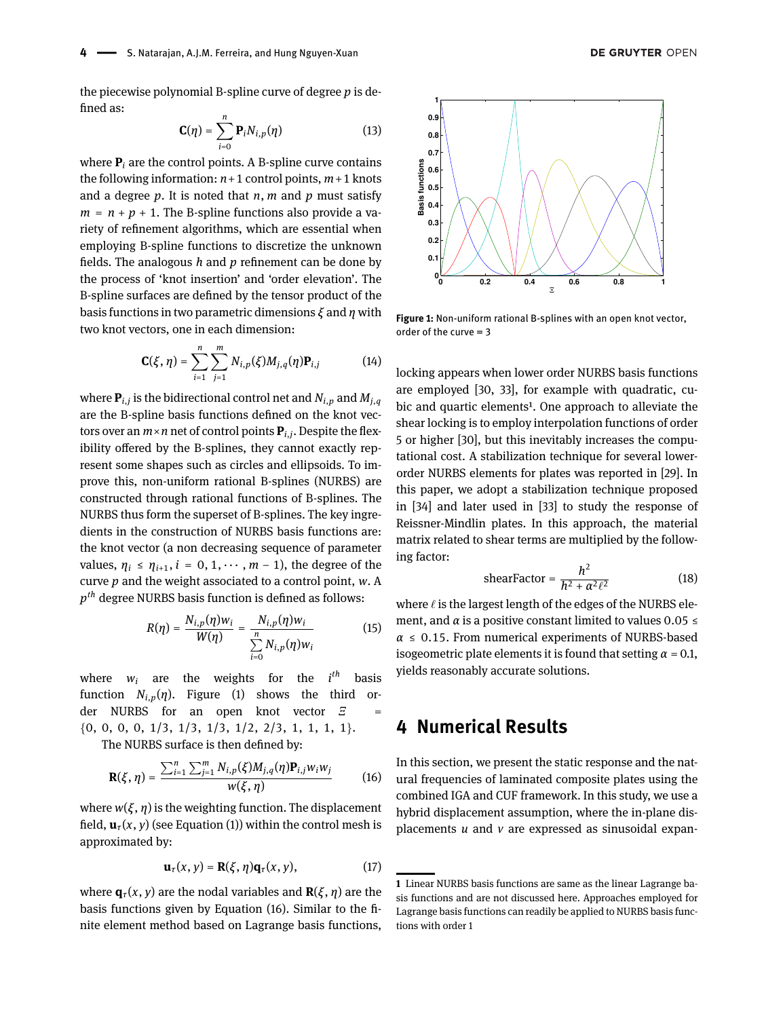the piecewise polynomial B-spline curve of degree *p* is de fined as:

$$
\mathbf{C}(\eta) = \sum_{i=0}^{n} \mathbf{P}_{i} N_{i,p}(\eta)
$$
 (13)

where  $P_i$  are the control points. A B-spline curve contains the following information:  $n+1$  control points,  $m+1$  knots and a degree *p*. It is noted that *n*, *m* and *p* must satisfy  $m = n + p + 1$ . The B-spline functions also provide a variety of refinement algorithms, which are essential when employing B-spline functions to discretize the unknown fields. The analogous  $h$  and  $p$  refinement can be done by the process of 'knot insertion' and 'order elevation'. The B-spline surfaces are defined by the tensor product of the basis functions in two parametric dimensions *ξ* and *η* with two knot vectors, one in each dimension:

$$
\mathbf{C}(\xi, \eta) = \sum_{i=1}^{n} \sum_{j=1}^{m} N_{i,p}(\xi) M_{j,q}(\eta) \mathbf{P}_{i,j}
$$
(14)

where  $\mathbf{P}_{i,j}$  is the bidirectional control net and  $N_{i,p}$  and  $M_{j,q}$ are the B-spline basis functions defined on the knot vectors over an  $m \times n$  net of control points  $\mathbf{P}_{i,j}.$  Despite the flexibility offered by the B-splines, they cannot exactly represent some shapes such as circles and ellipsoids. To improve this, non-uniform rational B-splines (NURBS) are constructed through rational functions of B-splines. The NURBS thus form the superset of B-splines. The key ingredients in the construction of NURBS basis functions are: the knot vector (a non decreasing sequence of parameter values,  $\eta_i \leq \eta_{i+1}$ ,  $i = 0, 1, \dots, m-1$ , the degree of the curve *p* and the weight associated to a control point, *w*. A  $p^{th}$  degree NURBS basis function is defined as follows:

$$
R(\eta) = \frac{N_{i,p}(\eta)w_i}{W(\eta)} = \frac{N_{i,p}(\eta)w_i}{\sum_{i=0}^{n} N_{i,p}(\eta)w_i}
$$
(15)

where  $w_i$  are the weights for the  $i^{th}$ *th* basis function  $N_i_p(\eta)$ . Figure [\(1\)](#page-3-1) shows the third order NURBS for an open knot vector *Ξ*  $\{0, 0, 0, 0, 1/3, 1/3, 1/3, 1/2, 2/3, 1, 1, 1, 1\}.$ 

The NURBS surface is then defined by:

$$
\mathbf{R}(\xi,\eta) = \frac{\sum_{i=1}^{n} \sum_{j=1}^{m} N_{i,p}(\xi) M_{j,q}(\eta) \mathbf{P}_{i,j} w_i w_j}{w(\xi,\eta)}
$$
(16)

where  $w(\xi, \eta)$  is the weighting function. The displacement field,  $\mathbf{u}_\tau(x, y)$  (see Equation [\(1\)](#page-1-1)) within the control mesh is approximated by:

$$
\mathbf{u}_{\tau}(x, y) = \mathbf{R}(\xi, \eta) \mathbf{q}_{\tau}(x, y), \qquad (17)
$$

where  $\mathbf{q}_{\tau}(x, y)$  are the nodal variables and  $\mathbf{R}(\xi, \eta)$  are the basis functions given by Equation  $(16)$ . Similar to the finite element method based on Lagrange basis functions,

<span id="page-3-1"></span>

**1**

**Figure 1:** Non-uniform rational B-splines with an open knot vector, order of the curve = 3

locking appears when lower order NURBS basis functions are employed [\[30,](#page-9-11) [33\]](#page-9-14), for example with quadratic, cubic and quartic elements<sup>1</sup>. One approach to alleviate the shear locking is to employ interpolation functions of order 5 or higher [\[30\]](#page-9-11), but this inevitably increases the computational cost. A stabilization technique for several lowerorder NURBS elements for plates was reported in [\[29\]](#page-9-10). In this paper, we adopt a stabilization technique proposed in [\[34\]](#page-9-15) and later used in [\[33\]](#page-9-14) to study the response of Reissner-Mindlin plates. In this approach, the material matrix related to shear terms are multiplied by the following factor:

shearFactor = 
$$
\frac{h^2}{h^2 + \alpha^2 \ell^2}
$$
 (18)

where  $\ell$  is the largest length of the edges of the NURBS element, and  $\alpha$  is a positive constant limited to values  $0.05 \le$  $\alpha \leq 0.15$ . From numerical experiments of NURBS-based isogeometric plate elements it is found that setting  $\alpha = 0.1$ , yields reasonably accurate solutions.

# <span id="page-3-2"></span><span id="page-3-0"></span>**4 Numerical Results**

In this section, we present the static response and the natural frequencies of laminated composite plates using the combined IGA and CUF framework. In this study, we use a hybrid displacement assumption, where the in-plane displacements *u* and *v* are expressed as sinusoidal expan-

**<sup>1</sup>** Linear NURBS basis functions are same as the linear Lagrange basis functions and are not discussed here. Approaches employed for Lagrange basis functions can readily be applied to NURBS basis functions with order 1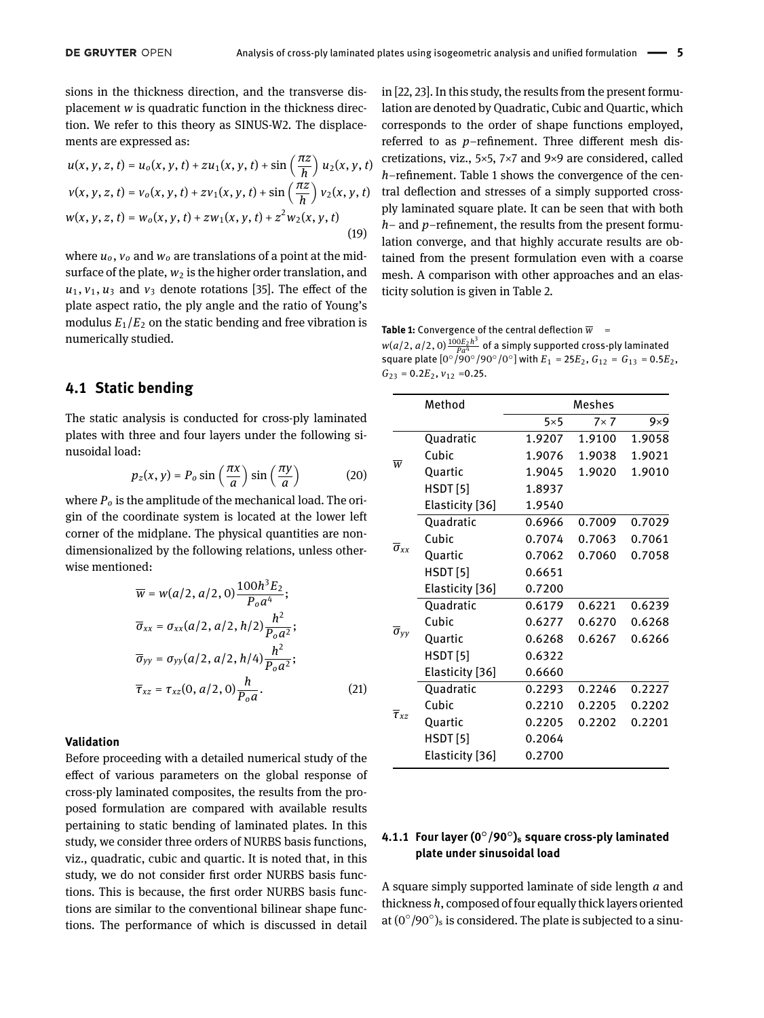sions in the thickness direction, and the transverse displacement *w* is quadratic function in the thickness direction. We refer to this theory as SINUS-W2. The displacements are expressed as:

$$
u(x, y, z, t) = u_o(x, y, t) + zu_1(x, y, t) + \sin\left(\frac{\pi z}{h}\right)u_2(x, y, t)
$$
  

$$
v(x, y, z, t) = v_o(x, y, t) + zv_1(x, y, t) + \sin\left(\frac{\pi z}{h}\right)v_2(x, y, t)
$$
  

$$
w(x, y, z, t) = w_o(x, y, t) + zw_1(x, y, t) + z^2w_2(x, y, t)
$$
  
(19)

where  $u_0$ ,  $v_0$  and  $w_0$  are translations of a point at the midsurface of the plate,  $w_2$  is the higher order translation, and  $u_1, v_1, u_3$  and  $v_3$  denote rotations [\[35\]](#page-9-16). The effect of the plate aspect ratio, the ply angle and the ratio of Young's modulus  $E_1/E_2$  on the static bending and free vibration is numerically studied.

#### **4.1 Static bending**

The static analysis is conducted for cross-ply laminated plates with three and four layers under the following sinusoidal load:

<span id="page-4-1"></span>
$$
p_z(x, y) = P_o \sin\left(\frac{\pi x}{a}\right) \sin\left(\frac{\pi y}{a}\right) \tag{20}
$$

where  $P_0$  is the amplitude of the mechanical load. The origin of the coordinate system is located at the lower left corner of the midplane. The physical quantities are nondimensionalized by the following relations, unless otherwise mentioned:

$$
\overline{w} = w(a/2, a/2, 0) \frac{100h^3 E_2}{P_o a^4};
$$
  
\n
$$
\overline{\sigma}_{xx} = \sigma_{xx}(a/2, a/2, h/2) \frac{h^2}{P_o a^2};
$$
  
\n
$$
\overline{\sigma}_{yy} = \sigma_{yy}(a/2, a/2, h/4) \frac{h^2}{P_o a^2};
$$
  
\n
$$
\overline{\tau}_{xz} = \tau_{xz}(0, a/2, 0) \frac{h}{P_o a}. \tag{21}
$$

#### **Validation**

Before proceeding with a detailed numerical study of the effect of various parameters on the global response of cross-ply laminated composites, the results from the proposed formulation are compared with available results pertaining to static bending of laminated plates. In this study, we consider three orders of NURBS basis functions, viz., quadratic, cubic and quartic. It is noted that, in this study, we do not consider first order NURBS basis functions. This is because, the first order NURBS basis functions are similar to the conventional bilinear shape functions. The performance of which is discussed in detail

in [\[22,](#page-9-3) [23\]](#page-9-4). In this study, the results from the present formulation are denoted by Quadratic, Cubic and Quartic, which corresponds to the order of shape functions employed, referred to as *p*−refinement. Three different mesh discretizations, viz., 5×5, 7×7 and 9×9 are considered, called *h*−refinement. Table [1](#page-4-0) shows the convergence of the central deflection and stresses of a simply supported crossply laminated square plate. It can be seen that with both *h*− and *p*−refinement, the results from the present formulation converge, and that highly accurate results are obtained from the present formulation even with a coarse mesh. A comparison with other approaches and an elasticity solution is given in Table [2.](#page-6-0)

<span id="page-4-0"></span>

| <b>Table 1:</b> Convergence of the central deflection $\overline{w}$<br>$=$                                  |
|--------------------------------------------------------------------------------------------------------------|
| $w(a/2, a/2, 0) \frac{100E_2 h^3}{p_a 4}$ of a simply supported cross-ply laminated                          |
| square plate $[0^{\circ}/90^{\circ}/90^{\circ}/0^{\circ}]$ with $E_1 = 25E_2$ , $G_{12} = G_{13} = 0.5E_2$ , |
| $G_{23} = 0.2E_2$ , $v_{12} = 0.25$ .                                                                        |

|                                            | Method          |             | Meshes       |            |
|--------------------------------------------|-----------------|-------------|--------------|------------|
|                                            |                 | $5\times 5$ | $7 \times 7$ | $9\times9$ |
|                                            | Quadratic       | 1.9207      | 1.9100       | 1.9058     |
|                                            | Cubic           | 1.9076      | 1.9038       | 1.9021     |
| $\overline{w}$                             | Quartic         | 1.9045      | 1.9020       | 1.9010     |
|                                            | <b>HSDT</b> [5] | 1.8937      |              |            |
|                                            | Elasticity [36] | 1.9540      |              |            |
|                                            | Quadratic       | 0.6966      | 0.7009       | 0.7029     |
|                                            | Cubic           | 0.7074      | 0.7063       | 0.7061     |
| $\bar{\sigma}_{xx}$                        | Quartic         | 0.7062      | 0.7060       | 0.7058     |
|                                            | <b>HSDT</b> [5] | 0.6651      |              |            |
|                                            | Elasticity [36] | 0.7200      |              |            |
|                                            | Quadratic       | 0.6179      | 0.6221       | 0.6239     |
|                                            | Cubic           | 0.6277      | 0.6270       | 0.6268     |
| $\overline{\sigma}_{\mathsf{y}\mathsf{y}}$ | Quartic         | 0.6268      | 0.6267       | 0.6266     |
|                                            | HSDT[5]         | 0.6322      |              |            |
|                                            | Elasticity [36] | 0.6660      |              |            |
|                                            | Quadratic       | 0.2293      | 0.2246       | 0.2227     |
|                                            | Cubic           | 0.2210      | 0.2205       | 0.2202     |
| $\overline{\tau}_{xz}$                     | Quartic         | 0.2205      | 0.2202       | 0.2201     |
|                                            | <b>HSDT[5]</b>  | 0.2064      |              |            |
|                                            | Elasticity [36] | 0.2700      |              |            |

#### **4.1.1 Four layer (0**◦ **/90**◦ **)<sup>s</sup> square cross-ply laminated plate under sinusoidal load**

A square simply supported laminate of side length *a* and thickness *h*, composed of four equally thick layers oriented at  $(0^{\circ}/90^{\circ})_s$  is considered. The plate is subjected to a sinu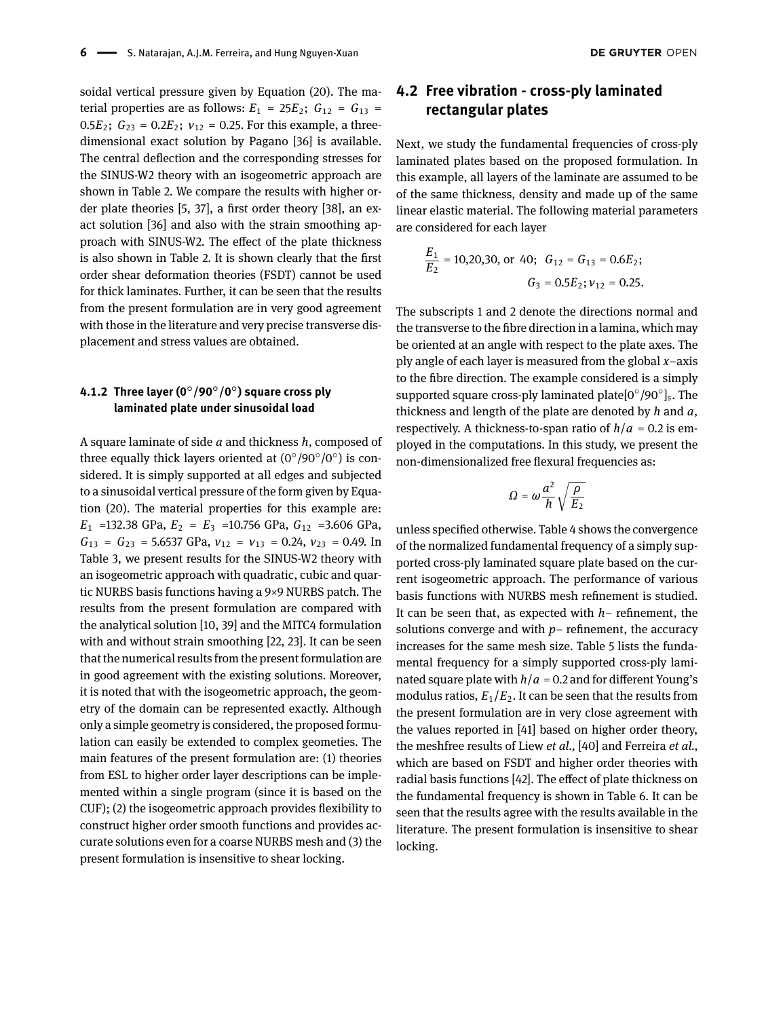soidal vertical pressure given by Equation [\(20\)](#page-4-1). The material properties are as follows:  $E_1 = 25E_2$ ;  $G_{12} = G_{13}$ 0.5 $E_2$ ;  $G_{23} = 0.2E_2$ ;  $v_{12} = 0.25$ . For this example, a threedimensional exact solution by Pagano [\[36\]](#page-9-17) is available. The central deflection and the corresponding stresses for the SINUS-W2 theory with an isogeometric approach are shown in Table [2.](#page-6-0) We compare the results with higher order plate theories  $[5, 37]$  $[5, 37]$ , a first order theory  $[38]$ , an exact solution [\[36\]](#page-9-17) and also with the strain smoothing approach with SINUS-W2. The effect of the plate thickness is also shown in Table [2.](#page-6-0) It is shown clearly that the first order shear deformation theories (FSDT) cannot be used for thick laminates. Further, it can be seen that the results from the present formulation are in very good agreement with those in the literature and very precise transverse displacement and stress values are obtained.

#### **4.1.2 Three layer (0**◦ **/90**◦ **/0**◦ **) square cross ply laminated plate under sinusoidal load**

A square laminate of side *a* and thickness *h*, composed of three equally thick layers oriented at  $(0°/90°/0°)$  is considered. It is simply supported at all edges and subjected to a sinusoidal vertical pressure of the form given by Equation [\(20\)](#page-4-1). The material properties for this example are: *E*<sup>1</sup> =132.38 GPa, *E*<sup>2</sup> = *E*<sup>3</sup> =10.756 GPa, *G*<sup>12</sup> =3.606 GPa,  $G_{13} = G_{23} = 5.6537 \text{ GPa}, v_{12} = v_{13} = 0.24, v_{23} = 0.49. \text{ In}$ Table [3,](#page-6-1) we present results for the SINUS-W2 theory with an isogeometric approach with quadratic, cubic and quartic NURBS basis functions having a 9×9 NURBS patch. The results from the present formulation are compared with the analytical solution [\[10,](#page-8-9) [39\]](#page-9-20) and the MITC4 formulation with and without strain smoothing [\[22,](#page-9-3) [23\]](#page-9-4). It can be seen that the numerical results from the present formulation are in good agreement with the existing solutions. Moreover, it is noted that with the isogeometric approach, the geometry of the domain can be represented exactly. Although only a simple geometry is considered, the proposed formulation can easily be extended to complex geometies. The main features of the present formulation are: (1) theories from ESL to higher order layer descriptions can be implemented within a single program (since it is based on the  $CUF$ ); (2) the isogeometric approach provides flexibility to construct higher order smooth functions and provides accurate solutions even for a coarse NURBS mesh and (3) the present formulation is insensitive to shear locking.

# **4.2 Free vibration - cross-ply laminated rectangular plates**

Next, we study the fundamental frequencies of cross-ply laminated plates based on the proposed formulation. In this example, all layers of the laminate are assumed to be of the same thickness, density and made up of the same linear elastic material. The following material parameters are considered for each layer

$$
\frac{E_1}{E_2} = 10,20,30, \text{ or } 40; \quad G_{12} = G_{13} = 0.6E_2;
$$
  

$$
G_3 = 0.5E_2; v_{12} = 0.25.
$$

The subscripts 1 and 2 denote the directions normal and the transverse to the fibre direction in a lamina, which may be oriented at an angle with respect to the plate axes. The ply angle of each layer is measured from the global *x*−axis to the fibre direction. The example considered is a simply supported square cross-ply laminated plate $[0^{\circ}/90^{\circ}]_{\rm s}$ . The thickness and length of the plate are denoted by *h* and *a*, respectively. A thickness-to-span ratio of  $h/a = 0.2$  is employed in the computations. In this study, we present the non-dimensionalized free flexural frequencies as:

$$
\Omega = \omega \frac{a^2}{h} \sqrt{\frac{\rho}{E_2}}
$$

unless specified otherwise. Table [4](#page-6-2) shows the convergence of the normalized fundamental frequency of a simply supported cross-ply laminated square plate based on the current isogeometric approach. The performance of various basis functions with NURBS mesh refinement is studied. It can be seen that, as expected with *h*− refinement, the solutions converge and with *p*− refinement, the accuracy increases for the same mesh size. Table [5](#page-7-0) lists the fundamental frequency for a simply supported cross-ply laminated square plate with  $h/a = 0.2$  and for different Young's modulus ratios,  $E_1/E_2$ . It can be seen that the results from the present formulation are in very close agreement with the values reported in [\[41\]](#page-9-21) based on higher order theory, the meshfree results of Liew *et al.,* [\[40\]](#page-9-22) and Ferreira *et al.,* which are based on FSDT and higher order theories with radial basis functions [\[42\]](#page-9-23). The effect of plate thickness on the fundamental frequency is shown in Table [6.](#page-7-1) It can be seen that the results agree with the results available in the literature. The present formulation is insensitive to shear locking.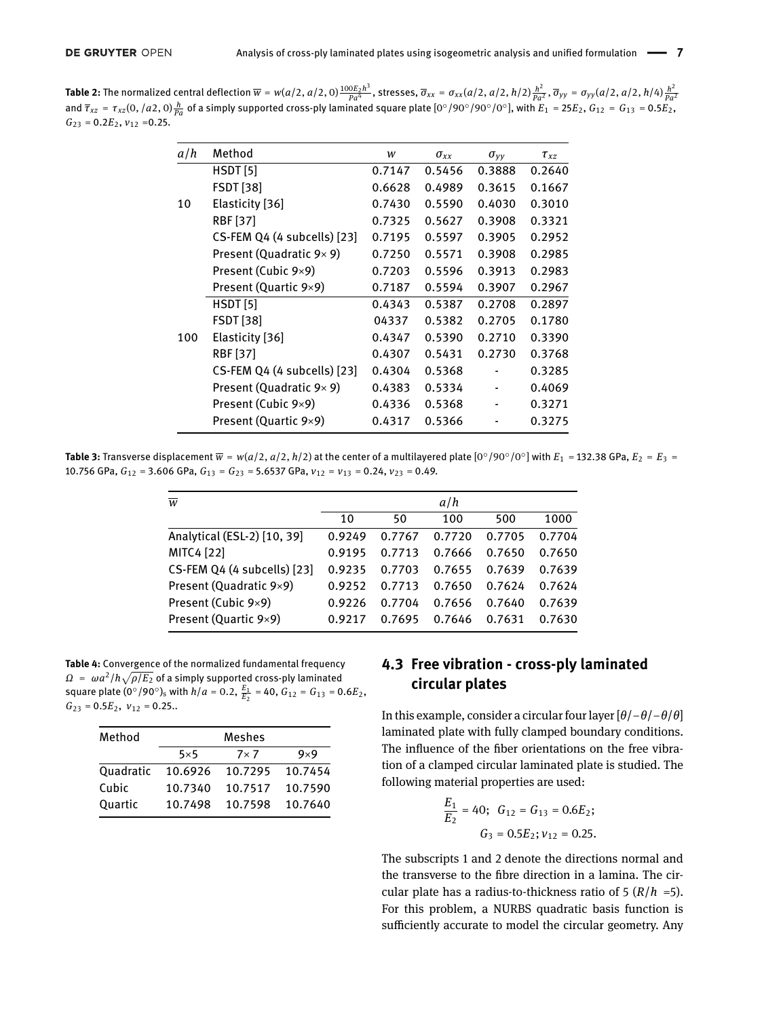<span id="page-6-0"></span>**Table 2:** The normalized central deflection  $\overline{w} = w(a/2, a/2, 0) \frac{100E_2 h^3}{P a^4}$ **Table 2:** The normalized central deflection  $\overline{w} = w(a/2, a/2, 0) \frac{100E_2 h^3}{Pa^4}$ , stresses,  $\overline{\sigma}_{xx} = \sigma_{xx}(a/2, a/2, h/2) \frac{h^2}{Pa^2}$ ,  $\overline{\sigma}_{yy} = \sigma_{yy}(a/2, a/2, h/4) \frac{h^2}{Pa^2}$ <br>and  $\overline{\tau}_{xz} = \tau_{xz}(0, /a2, 0) \frac{h}{Pa}$  of a sim  $G_{23} = 0.2E_2, v_{12} = 0.25.$ 

| a/h | Method                      | w      | $\sigma_{xx}$ | $\sigma_{vv}$ | $\tau_{xz}$ |
|-----|-----------------------------|--------|---------------|---------------|-------------|
|     | HSDT[5]                     | 0.7147 | 0.5456        | 0.3888        | 0.2640      |
|     | <b>FSDT</b> [38]            | 0.6628 | 0.4989        | 0.3615        | 0.1667      |
| 10  | Elasticity [36]             | 0.7430 | 0.5590        | 0.4030        | 0.3010      |
|     | <b>RBF</b> [37]             | 0.7325 | 0.5627        | 0.3908        | 0.3321      |
|     | CS-FEM Q4 (4 subcells) [23] | 0.7195 | 0.5597        | 0.3905        | 0.2952      |
|     | Present (Quadratic 9×9)     | 0.7250 | 0.5571        | 0.3908        | 0.2985      |
|     | Present (Cubic 9×9)         | 0.7203 | 0.5596        | 0.3913        | 0.2983      |
|     | Present (Quartic 9×9)       | 0.7187 | 0.5594        | 0.3907        | 0.2967      |
|     | HSDT[5]                     | 0.4343 | 0.5387        | 0.2708        | 0.2897      |
|     | <b>FSDT</b> [38]            | 04337  | 0.5382        | 0.2705        | 0.1780      |
| 100 | Elasticity [36]             | 0.4347 | 0.5390        | 0.2710        | 0.3390      |
|     | <b>RBF</b> [37]             | 0.4307 | 0.5431        | 0.2730        | 0.3768      |
|     | CS-FEM Q4 (4 subcells) [23] | 0.4304 | 0.5368        |               | 0.3285      |
|     | Present (Quadratic 9×9)     | 0.4383 | 0.5334        |               | 0.4069      |
|     | Present (Cubic 9×9)         | 0.4336 | 0.5368        |               | 0.3271      |
|     | Present (Quartic 9×9)       | 0.4317 | 0.5366        |               | 0.3275      |

<span id="page-6-1"></span>**Table 3:** Transverse displacement  $\overline{w} = w(a/2, a/2, h/2)$  at the center of a multilayered plate  $[0^{\circ}/90^{\circ}/0^{\circ}]$  with  $E_1$  = 132.38 GPa,  $E_2 = E_3$  = 10.756 GPa, *G*<sup>12</sup> = 3.606 GPa, *G*<sup>13</sup> = *G*<sup>23</sup> = 5.6537 GPa, *ν*<sup>12</sup> = *ν*<sup>13</sup> = 0.24, *ν*<sup>23</sup> = 0.49.

| a/h    |     |                                                          |
|--------|-----|----------------------------------------------------------|
| 100    | 500 | 1000                                                     |
| 0.7720 |     | 0.7704                                                   |
| 0.7666 |     | 0.7650                                                   |
| 0.7655 |     | 0.7639                                                   |
| 0.7650 |     | 0.7624                                                   |
| 0.7656 |     | 0.7639                                                   |
| 0.7646 |     | 0.7630                                                   |
|        |     | 0.7705<br>0.7650<br>0.7639<br>0.7624<br>0.7640<br>0.7631 |

<span id="page-6-2"></span>**Table 4:** Convergence of the normalized fundamental frequency  $\varOmega$  =  $\omega a^2/h\sqrt{\rho/E_2}$  of a simply supported cross-ply laminated square plate  $(0^{\circ}/90^{\circ})_s$  with  $h/a = 0.2$ ,  $\frac{E_1}{E_2} = 40$ ,  $G_{12} = G_{13} = 0.6E_2$ ,  $G_{23} = 0.5E_2, v_{12} = 0.25...$ 

| Method<br>Meshes |             |            |            |  |
|------------------|-------------|------------|------------|--|
|                  | $5\times 5$ | $7\times7$ | $9\times9$ |  |
| Quadratic        | 10.6926     | 10.7295    | 10.7454    |  |
| Cubic            | 10.7340     | 10.7517    | 10.7590    |  |
| Quartic          | 10.7498     | 10.7598    | 10.7640    |  |

# **4.3 Free vibration - cross-ply laminated circular plates**

In this example, consider a circular four layer[*θ*/−*θ*/−*θ*/*θ*] laminated plate with fully clamped boundary conditions. The influence of the fiber orientations on the free vibration of a clamped circular laminated plate is studied. The following material properties are used:

$$
\frac{E_1}{E_2} = 40; \quad G_{12} = G_{13} = 0.6E_2; G_3 = 0.5E_2; v_{12} = 0.25.
$$

The subscripts 1 and 2 denote the directions normal and the transverse to the fibre direction in a lamina. The circular plate has a radius-to-thickness ratio of 5 (*R*/*h* =5). For this problem, a NURBS quadratic basis function is sufficiently accurate to model the circular geometry. Any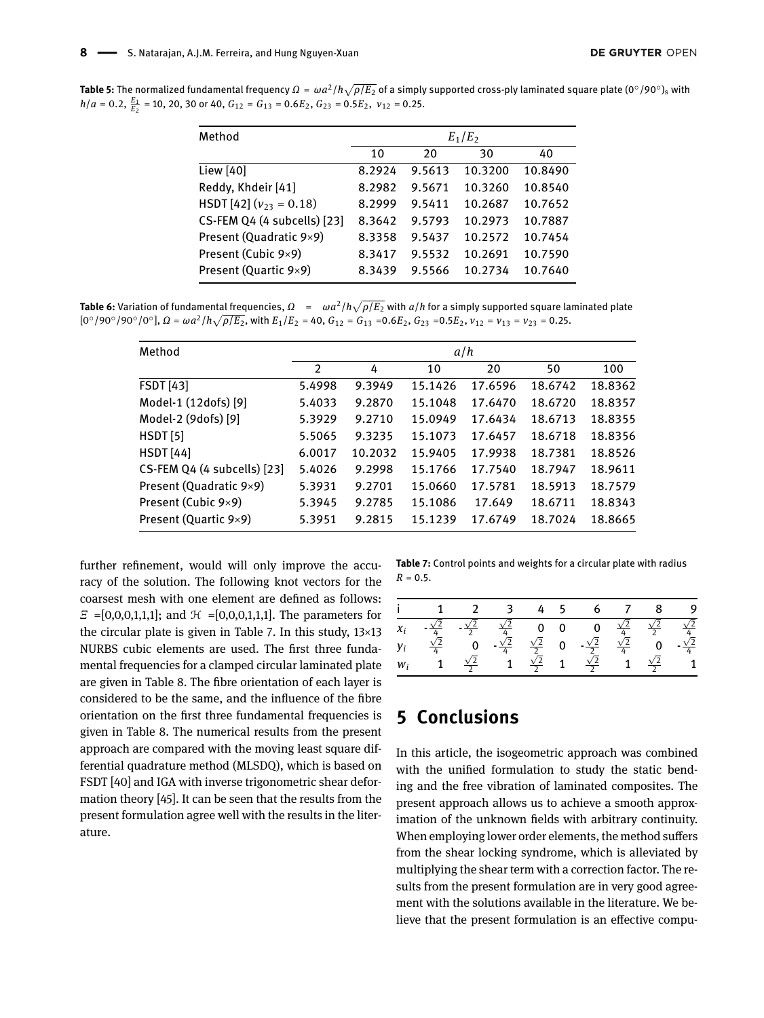<span id="page-7-0"></span>**Table 5:** The normalized fundamental frequency  $Ω = ωa^2/h\sqrt{ρ/E_2}$  of a simply supported cross-ply laminated square plate (0°/90°)<sub>s</sub> with  $h/a = 0.2, \frac{E_1}{E_2} = 10, 20, 30$  or 40,  $G_{12} = G_{13} = 0.6E_2, G_{23} = 0.5E_2, v_{12} = 0.25$ .

| Method                      | $E_1/E_2$ |        |         |         |  |
|-----------------------------|-----------|--------|---------|---------|--|
|                             | 10        | 20     | 30      | 40      |  |
| Liew $[40]$                 | 8.2924    | 9.5613 | 10.3200 | 10.8490 |  |
| Reddy, Khdeir [41]          | 8.2982    | 9.5671 | 10.3260 | 10.8540 |  |
| HSDT [42] $(v_{23} = 0.18)$ | 8.2999    | 9.5411 | 10.2687 | 10.7652 |  |
| CS-FEM Q4 (4 subcells) [23] | 8.3642    | 9.5793 | 10.2973 | 10.7887 |  |
| Present (Quadratic 9×9)     | 8.3358    | 9.5437 | 10.2572 | 10.7454 |  |
| Present (Cubic 9×9)         | 8.3417    | 9.5532 | 10.2691 | 10.7590 |  |
| Present (Quartic 9×9)       | 8.3439    | 9.5566 | 10.2734 | 10.7640 |  |

<span id="page-7-1"></span>**Table 6:** Variation of fundamental frequencies, *Ω* = *ωa*<sup>2</sup> /*h* p *ρ*/*E*<sup>2</sup> with *a*/*h* for a simply supported square laminated plate  $[0^{\circ}/90^{\circ}/90^{\circ}/0^{\circ}], \Omega = \omega a^2/h \sqrt{\rho/E_2}$ , with  $E_1/E_2 = 40$ ,  $G_{12} = G_{13} = 0.6E_2$ ,  $G_{23} = 0.5E_2$ ,  $v_{12} = v_{13} = v_{23} = 0.25$ .

| Method                      | a/h           |         |         |         |         |         |  |
|-----------------------------|---------------|---------|---------|---------|---------|---------|--|
|                             | $\mathcal{P}$ | 4       | 10      | 20      | 50      | 100     |  |
| <b>FSDT</b> [43]            | 5.4998        | 9.3949  | 15.1426 | 17.6596 | 18.6742 | 18.8362 |  |
| Model-1 (12dofs) [9]        | 5.4033        | 9.2870  | 15.1048 | 17.6470 | 18.6720 | 18.8357 |  |
| Model-2 (9dofs) [9]         | 5.3929        | 9.2710  | 15.0949 | 17.6434 | 18.6713 | 18.8355 |  |
| <b>HSDT</b> [5]             | 5.5065        | 9.3235  | 15.1073 | 17.6457 | 18.6718 | 18.8356 |  |
| <b>HSDT</b> [44]            | 6.0017        | 10.2032 | 15.9405 | 17.9938 | 18.7381 | 18.8526 |  |
| CS-FEM Q4 (4 subcells) [23] | 5.4026        | 9.2998  | 15.1766 | 17.7540 | 18.7947 | 18.9611 |  |
| Present (Quadratic 9×9)     | 5.3931        | 9.2701  | 15.0660 | 17.5781 | 18.5913 | 18.7579 |  |
| Present (Cubic 9×9)         | 5.3945        | 9.2785  | 15.1086 | 17.649  | 18.6711 | 18.8343 |  |
| Present (Quartic 9×9)       | 5.3951        | 9.2815  | 15.1239 | 17.6749 | 18.7024 | 18.8665 |  |

further refinement, would will only improve the accuracy of the solution. The following knot vectors for the coarsest mesh with one element are defined as follows: *Ξ* =[0,0,0,1,1,1]; and *H* =[0,0,0,1,1,1]. The parameters for the circular plate is given in Table [7.](#page-7-2) In this study, 13×13 NURBS cubic elements are used. The first three fundamental frequencies for a clamped circular laminated plate are given in Table [8.](#page-8-19) The fibre orientation of each layer is considered to be the same, and the influence of the fibre orientation on the first three fundamental frequencies is given in Table [8.](#page-8-19) The numerical results from the present approach are compared with the moving least square differential quadrature method (MLSDQ), which is based on FSDT [\[40\]](#page-9-22) and IGA with inverse trigonometric shear deformation theory [\[45\]](#page-9-26). It can be seen that the results from the present formulation agree well with the results in the literature.

<span id="page-7-2"></span>**Table 7:** Control points and weights for a circular plate with radius  $R = 0.5$ .

|       | $\overline{\mathcal{L}}$ | $\overline{\mathbf{3}}$ | 4 5 |                                                                                                                                                                                                                                                                                                                                                                     |  | 8 9 |
|-------|--------------------------|-------------------------|-----|---------------------------------------------------------------------------------------------------------------------------------------------------------------------------------------------------------------------------------------------------------------------------------------------------------------------------------------------------------------------|--|-----|
| $x_i$ |                          |                         |     |                                                                                                                                                                                                                                                                                                                                                                     |  |     |
|       |                          |                         |     |                                                                                                                                                                                                                                                                                                                                                                     |  |     |
|       |                          |                         |     | $-\frac{\sqrt{2}}{4}$ $-\frac{\sqrt{2}}{2}$ $\frac{\sqrt{2}}{4}$ 0 0 0 $\frac{\sqrt{2}}{4}$ $\frac{\sqrt{2}}{2}$ $\frac{\sqrt{2}}{4}$<br>$\frac{\sqrt{2}}{4}$ 0 $-\frac{\sqrt{2}}{4}$ $\frac{\sqrt{2}}{2}$ 0 $-\frac{\sqrt{2}}{2}$ $\frac{\sqrt{2}}{4}$ 0 $-\frac{\sqrt{2}}{4}$<br>1 $\frac{\sqrt{2}}{2}$ 1 $\frac{\sqrt{2}}{2}$ 1 $\frac{\sqrt{2}}{2}$ 1 $\frac{\$ |  |     |

# **5 Conclusions**

In this article, the isogeometric approach was combined with the unified formulation to study the static bending and the free vibration of laminated composites. The present approach allows us to achieve a smooth approximation of the unknown fields with arbitrary continuity. When employing lower order elements, the method suffers from the shear locking syndrome, which is alleviated by multiplying the shear term with a correction factor. The results from the present formulation are in very good agreement with the solutions available in the literature. We believe that the present formulation is an effective compu-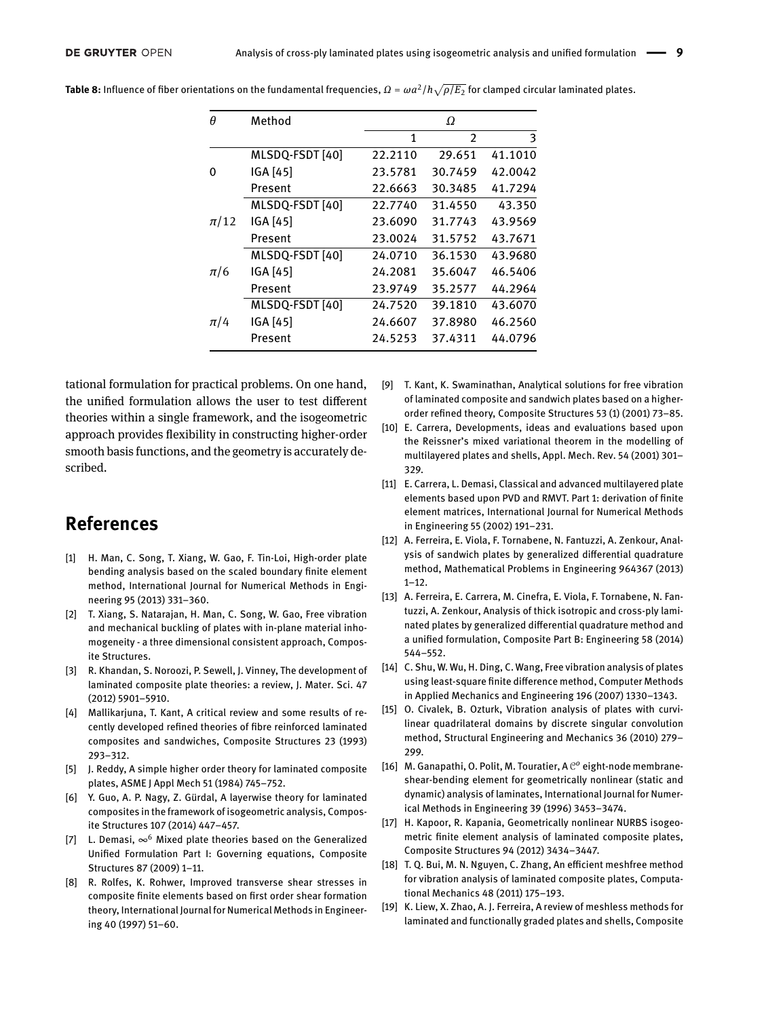| θ        | Method          |         | Ω              |         |
|----------|-----------------|---------|----------------|---------|
|          |                 | 1       | $\overline{2}$ | 3       |
|          | MLSDQ-FSDT [40] | 22.2110 | 29.651         | 41.1010 |
| 0        | IGA [45]        | 23.5781 | 30.7459        | 42.0042 |
|          | Present         | 22.6663 | 30.3485        | 41.7294 |
|          | MLSDQ-FSDT [40] | 22.7740 | 31.4550        | 43.350  |
| $\pi/12$ | IGA [45]        | 23.6090 | 31.7743        | 43.9569 |
|          | Present         | 23.0024 | 31.5752        | 43.7671 |
|          | MLSDQ-FSDT [40] | 24.0710 | 36.1530        | 43.9680 |
| $\pi/6$  | IGA [45]        | 24.2081 | 35.6047        | 46.5406 |
|          | Present         | 23.9749 | 35.2577        | 44.2964 |
|          | MLSDQ-FSDT [40] | 24.7520 | 39.1810        | 43.6070 |
| $\pi/4$  | IGA [45]        | 24.6607 | 37.8980        | 46.2560 |
|          | Present         | 24.5253 | 37.4311        | 44.0796 |

<span id="page-8-19"></span>**Table 8:** Influence of fiber orientations on the fundamental frequencies,  $\Omega$  =  $\omega a^2/h\sqrt{\rho/E_2}$  for clamped circular laminated plates.

tational formulation for practical problems. On one hand, the unified formulation allows the user to test different theories within a single framework, and the isogeometric approach provides flexibility in constructing higher-order smooth basis functions, and the geometry is accurately described.

# **References**

- <span id="page-8-0"></span>[1] H. Man, C. Song, T. Xiang, W. Gao, F. Tin-Loi, High-order plate bending analysis based on the scaled boundary finite element method, International Journal for Numerical Methods in Engineering 95 (2013) 331–360.
- <span id="page-8-1"></span>[2] T. Xiang, S. Natarajan, H. Man, C. Song, W. Gao, Free vibration and mechanical buckling of plates with in-plane material inhomogeneity - a three dimensional consistent approach, Composite Structures.
- <span id="page-8-2"></span>[3] R. Khandan, S. Noroozi, P. Sewell, J. Vinney, The development of laminated composite plate theories: a review, J. Mater. Sci. 47 (2012) 5901–5910.
- <span id="page-8-3"></span>[4] Mallikarjuna, T. Kant, A critical review and some results of recently developed refined theories of fibre reinforced laminated composites and sandwiches, Composite Structures 23 (1993) 293–312.
- <span id="page-8-4"></span>[5] J. Reddy, A simple higher order theory for laminated composite plates, ASME J Appl Mech 51 (1984) 745–752.
- <span id="page-8-5"></span>[6] Y. Guo, A. P. Nagy, Z. Gürdal, A layerwise theory for laminated composites in the framework of isogeometric analysis, Composite Structures 107 (2014) 447–457.
- <span id="page-8-6"></span>[7] L. Demasi,  $\infty^6$  Mixed plate theories based on the Generalized Unified Formulation Part I: Governing equations, Composite Structures 87 (2009) 1–11.
- <span id="page-8-7"></span>[8] R. Rolfes, K. Rohwer, Improved transverse shear stresses in composite finite elements based on first order shear formation theory, International Journal for Numerical Methods in Engineering 40 (1997) 51–60.
- <span id="page-8-8"></span>[9] T. Kant, K. Swaminathan, Analytical solutions for free vibration of laminated composite and sandwich plates based on a higherorder refined theory, Composite Structures 53 (1) (2001) 73-85.
- <span id="page-8-9"></span>[10] E. Carrera, Developments, ideas and evaluations based upon the Reissner's mixed variational theorem in the modelling of multilayered plates and shells, Appl. Mech. Rev. 54 (2001) 301– 329.
- <span id="page-8-10"></span>[11] E. Carrera, L. Demasi, Classical and advanced multilayered plate elements based upon PVD and RMVT. Part 1: derivation of finite element matrices, International Journal for Numerical Methods in Engineering 55 (2002) 191–231.
- <span id="page-8-11"></span>[12] A. Ferreira, E. Viola, F. Tornabene, N. Fantuzzi, A. Zenkour, Analysis of sandwich plates by generalized differential quadrature method, Mathematical Problems in Engineering 964367 (2013) 1–12.
- <span id="page-8-12"></span>[13] A. Ferreira, E. Carrera, M. Cinefra, E. Viola, F. Tornabene, N. Fantuzzi, A. Zenkour, Analysis of thick isotropic and cross-ply laminated plates by generalized differential quadrature method and a unified formulation, Composite Part B: Engineering 58 (2014) 544–552.
- <span id="page-8-13"></span>[14] C. Shu, W. Wu, H. Ding, C. Wang, Free vibration analysis of plates using least-square finite difference method, Computer Methods in Applied Mechanics and Engineering 196 (2007) 1330–1343.
- <span id="page-8-14"></span>[15] O. Civalek, B. Ozturk, Vibration analysis of plates with curvilinear quadrilateral domains by discrete singular convolution method, Structural Engineering and Mechanics 36 (2010) 279– 299.
- <span id="page-8-15"></span>[16] M. Ganapathi, O. Polit, M. Touratier, A C<sup>o</sup> eight-node membraneshear-bending element for geometrically nonlinear (static and dynamic) analysis of laminates, International Journal for Numerical Methods in Engineering 39 (1996) 3453–3474.
- <span id="page-8-16"></span>[17] H. Kapoor, R. Kapania, Geometrically nonlinear NURBS isogeometric finite element analysis of laminated composite plates, Composite Structures 94 (2012) 3434–3447.
- <span id="page-8-17"></span>[18] T. Q. Bui, M. N. Nguyen, C. Zhang, An efficient meshfree method for vibration analysis of laminated composite plates, Computational Mechanics 48 (2011) 175–193.
- <span id="page-8-18"></span>[19] K. Liew, X. Zhao, A. J. Ferreira, A review of meshless methods for laminated and functionally graded plates and shells, Composite